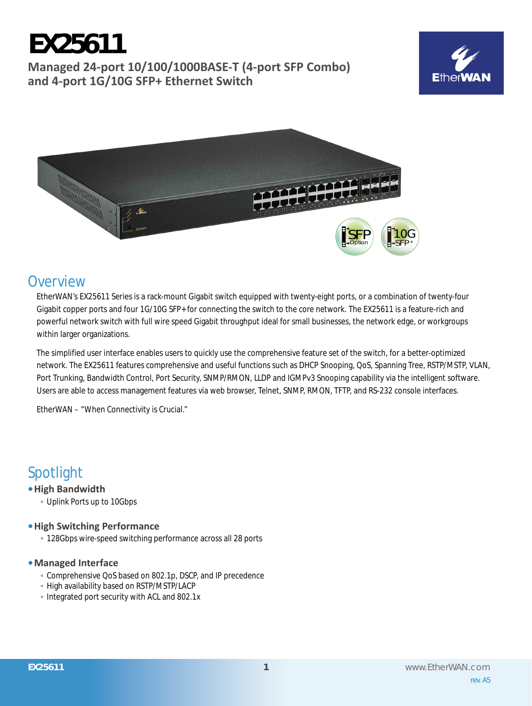# **EX25611 Managed 24-port 10/100/1000BASE-T (4-port SFP Combo) and 4-port 1G/10G SFP+ Ethernet Switch**





### **Overview**

EtherWAN's EX25611 Series is a rack-mount Gigabit switch equipped with twenty-eight ports, or a combination of twenty-four Gigabit copper ports and four 1G/10G SFP+ for connecting the switch to the core network. The EX25611 is a feature-rich and powerful network switch with full wire speed Gigabit throughput ideal for small businesses, the network edge, or workgroups within larger organizations.

The simplified user interface enables users to quickly use the comprehensive feature set of the switch, for a better-optimized network. The EX25611 features comprehensive and useful functions such as DHCP Snooping, QoS, Spanning Tree, RSTP/MSTP, VLAN, Port Trunking, Bandwidth Control, Port Security, SNMP/RMON, LLDP and IGMPv3 Snooping capability via the intelligent software. Users are able to access management features via web browser, Telnet, SNMP, RMON, TFTP, and RS-232 console interfaces.

EtherWAN – "When Connectivity is Crucial."

### Spotlight

- **• High Bandwidth**
	- Uplink Ports up to 10Gbps

#### **• High Switching Performance**

◦ 128Gbps wire-speed switching performance across all 28 ports

#### **• Managed Interface**

- Comprehensive QoS based on 802.1p, DSCP, and IP precedence
- High availability based on RSTP/MSTP/LACP
- Integrated port security with ACL and 802.1x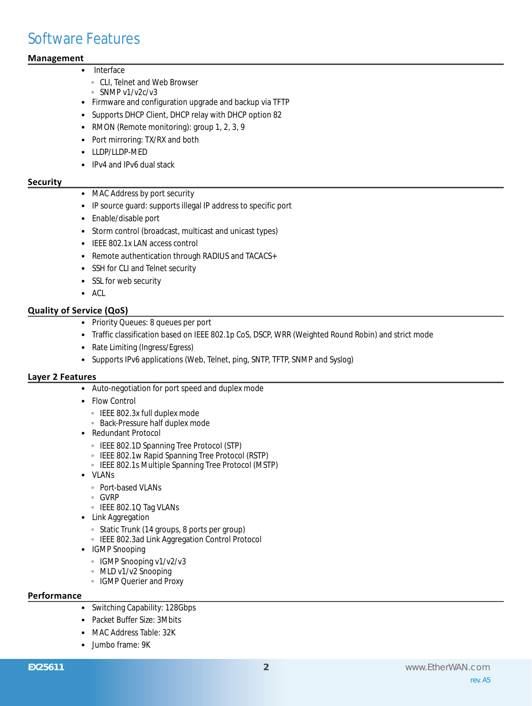### Software Features

#### **Management**

#### **Interface**

- CLI, Telnet and Web Browser
- SNMP v1/v2c/v3
- • Firmware and configuration upgrade and backup via TFTP
- Supports DHCP Client, DHCP relay with DHCP option 82
- RMON (Remote monitoring): group 1, 2, 3, 9
- Port mirroring: TX/RX and both
- • LLDP/LLDP-MED
- IPv4 and IPv6 dual stack

#### **Security**

- MAC Address by port security
- IP source guard: supports illegal IP address to specific port
- • Enable/disable port
- Storm control (broadcast, multicast and unicast types)
- IEEE 802.1x LAN access control
- Remote authentication through RADIUS and TACACS+
- SSH for CLI and Telnet security
- SSL for web security
- • ACL

#### **Quality of Service (QoS)**

- • Priority Queues: 8 queues per port
- Traffic classification based on IEEE 802.1p CoS, DSCP, WRR (Weighted Round Robin) and strict mode
- Rate Limiting (Ingress/Egress)
- Supports IPv6 applications (Web, Telnet, ping, SNTP, TFTP, SNMP and Syslog)

#### **Layer 2 Features**

- • Auto-negotiation for port speed and duplex mode
- Flow Control
	- IEEE 802.3x full duplex mode
	- Back-Pressure half duplex mode
- • Redundant Protocol
	- IEEE 802.1D Spanning Tree Protocol (STP)
	- IEEE 802.1w Rapid Spanning Tree Protocol (RSTP)
	- IEEE 802.1s Multiple Spanning Tree Protocol (MSTP)
- • VLANs
	- Port-based VLANs
- GVRP
- IEEE 802.1Q Tag VLANs
- Link Aggregation
	- Static Trunk (14 groups, 8 ports per group)
	- IEEE 802.3ad Link Aggregation Control Protocol
- • IGMP Snooping
	- IGMP Snooping v1/v2/v3
	- MLD v1/v2 Snooping
	- IGMP Querier and Proxy

#### **Performance**

- Switching Capability: 128Gbps
- • Packet Buffer Size: 3Mbits
- MAC Address Table: 32K
- • Jumbo frame: 9K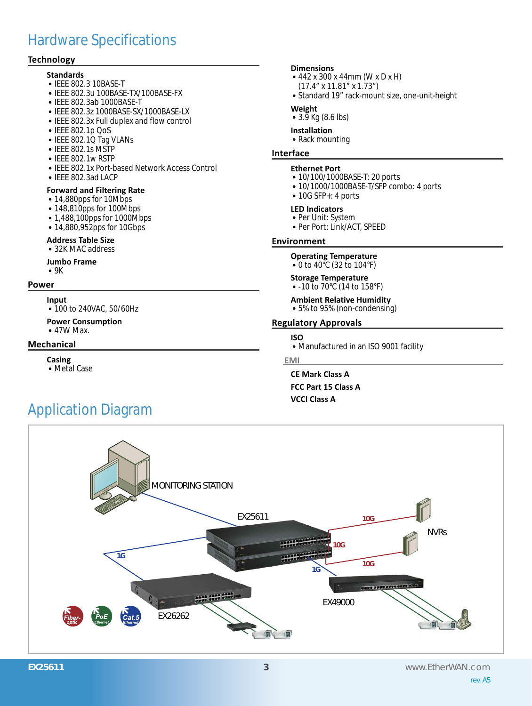## Hardware Specifications

#### **Technology**

- **Standards** • IEEE 802.3 10BASE-T • IEEE 802.3u 100BASE-TX/100BASE-FX
- • IEEE 802.3ab 1000BASE-T
- • IEEE 802.3z 1000BASE-SX/1000BASE-LX
- IEEE 802.3x Full duplex and flow control
- • IEEE 802.1p QoS
- IEEE 802.1Q Tag VLANs
- IEEE 802.1s MSTP
- IEEE 802.1w RSTP
- • IEEE 802.1x Port-based Network Access Control
- IEEE 802.3ad LACP

#### **Forward and Filtering Rate**

- 14,880pps for 10Mbps
- 148,810pps for 100Mbps
- 1,488,100pps for 1000Mbps
- 14,880,952pps for 10Gbps

#### **Address Table Size**

• 32K MAC address

**Jumbo Frame**

 $•9K$ 

#### **Power**

**Input**

• 100 to 240VAC, 50/60Hz

**Power Consumption** • 47W Max.

#### **Mechanical**

**Casing**

• Metal Case

#### **Dimensions**

- 442 x 300 x 44mm (W x D x H)
	- (17.4" x 11.81" x 1.73")
- Standard 19" rack-mount size, one-unit-height

#### **Weight**

•  $3.\overline{9}$  Kg (8.6 lbs)

### **Installation**

• Rack mounting

#### **Interface**

#### **Ethernet Port**

- 10/100/1000BASE-T: 20 ports
- 10/1000/1000BASE-T/SFP combo: 4 ports
- $\bullet$  10G SFP+: 4 ports

#### **LED Indicators**

- Per Unit: System
- • Per Port: Link/ACT, SPEED

#### **Environment**

#### **Operating Temperature**

• 0 to 40°C (32 to 104°F)

#### **Storage Temperature**

• -10 to 70°C (14 to 158°F)

**Ambient Relative Humidity**

• 5% to 95% (non-condensing)

#### **Regulatory Approvals**

#### **ISO**

• Manufactured in an ISO 9001 facility

#### **EMI**

**CE Mark Class A FCC Part 15 Class A VCCI Class A**